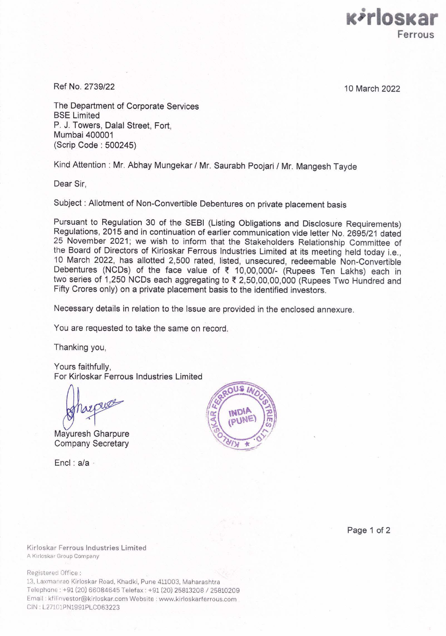

Ref No. 2739/22 10 March 2022

The Department of Corporate Services BSE Limited P. J. Towers, Dalal Street, Fort, Mumbai 400001 (Scrip Code : 500245)

Kind Attention : Mr. Abhay Mungekar / Mr. Saurabh Poojari / Mr. Mangesh Tayde

Dear Sir,

Subject : Allotment of Non-Convertible Debentures on private placement basis

Pursuant to Regulation 30 of the SEBI (Listing Obligations and Disclosure Requirements) Regulations, 2015 and in continuation of earlier communication vide letter No. 2695/21 dated 25 November 2021; we wish to inform that the Stakeholders Relationship Committee of the Board of Directors of Kirloskar Ferrous Industries Limited at its meeting held today i.e., 10 March 2022, has allotted 2,500 rated, listed, unsecured, redeemable Non-Convertible Debentures (NCDs) of the face value of  $\bar{\tau}$  10,00,000/- (Rupees Ten Lakhs) each in two series of 1,250 NCDs each aggregating to  $\bar{\tau}$  2,50,00,00,000 (Rupees Two Hundred and Fifty Crores only) on a private placement basis to the identified investors.

Necessary details in relation to the Issue are provided in the enclosed annexure.

You are requested to take the same on record.

Thanking you,

Yours faithfully, For Kirloskar Ferrous Industries Limited

Mayuresh Gharpure Company Secretary

Encl : a/a ·



Page 1 of 2

Kirloskar Ferrous Industries Limited A Kirloskar Group Company

Registered Office :

13. Laxmanrao Kirloskar Road, Khadki, Pune 411003, Maharashtra Telephone: +91 (20) 66084645 Telefax : +91 (20) 25813208 / 25810209 Email . kfilinvestor@kirloskar.com Website : www.kirloskarferrous.com CIN : L27101PN1991PLC063223